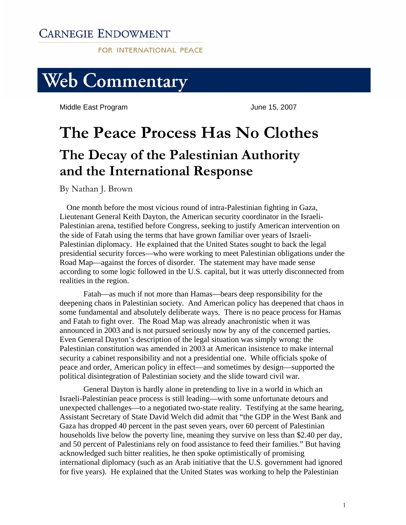# **CARNEGIE ENDOWMENT**

FOR INTERNATIONAL PEACE



Middle East Program and The Control of the United States of June 15, 2007

# **The Peace Process Has No Clothes The Decay of the Palestinian Authority and the International Response**

By Nathan J. Brown

One month before the most vicious round of intra-Palestinian fighting in Gaza, Lieutenant General Keith Dayton, the American security coordinator in the Israeli-Palestinian arena, testified before Congress, seeking to justify American intervention on the side of Fatah using the terms that have grown familiar over years of Israeli-Palestinian diplomacy. He explained that the United States sought to back the legal presidential security forces—who were working to meet Palestinian obligations under the Road Map—against the forces of disorder. The statement may have made sense according to some logic followed in the U.S. capital, but it was utterly disconnected from realities in the region.

Fatah—as much if not more than Hamas—bears deep responsibility for the deepening chaos in Palestinian society. And American policy has deepened that chaos in some fundamental and absolutely deliberate ways. There is no peace process for Hamas and Fatah to fight over. The Road Map was already anachronistic when it was announced in 2003 and is not pursued seriously now by any of the concerned parties. Even General Dayton's description of the legal situation was simply wrong: the Palestinian constitution was amended in 2003 at American insistence to make internal security a cabinet responsibility and not a presidential one. While officials spoke of peace and order, American policy in effect—and sometimes by design—supported the political disintegration of Palestinian society and the slide toward civil war.

 General Dayton is hardly alone in pretending to live in a world in which an Israeli-Palestinian peace process is still leading—with some unfortunate detours and unexpected challenges—to a negotiated two-state reality. Testifying at the same hearing, Assistant Secretary of State David Welch did admit that "the GDP in the West Bank and Gaza has dropped 40 percent in the past seven years, over 60 percent of Palestinian households live below the poverty line, meaning they survive on less than \$2.40 per day, and 50 percent of Palestinians rely on food assistance to feed their families." But having acknowledged such bitter realities, he then spoke optimistically of promising international diplomacy (such as an Arab initiative that the U.S. government had ignored for five years). He explained that the United States was working to help the Palestinian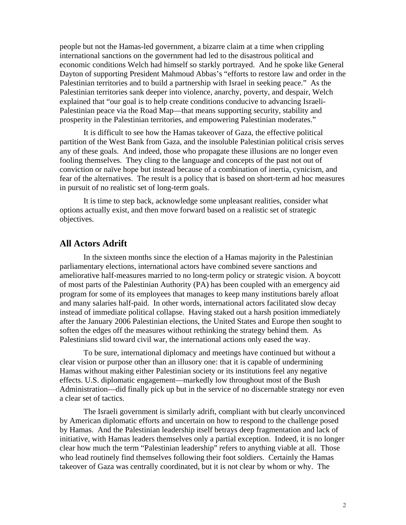people but not the Hamas-led government, a bizarre claim at a time when crippling international sanctions on the government had led to the disastrous political and economic conditions Welch had himself so starkly portrayed. And he spoke like General Dayton of supporting President Mahmoud Abbas's "efforts to restore law and order in the Palestinian territories and to build a partnership with Israel in seeking peace." As the Palestinian territories sank deeper into violence, anarchy, poverty, and despair, Welch explained that "our goal is to help create conditions conducive to advancing Israeli-Palestinian peace via the Road Map—that means supporting security, stability and prosperity in the Palestinian territories, and empowering Palestinian moderates."

 It is difficult to see how the Hamas takeover of Gaza, the effective political partition of the West Bank from Gaza, and the insoluble Palestinian political crisis serves any of these goals. And indeed, those who propagate these illusions are no longer even fooling themselves. They cling to the language and concepts of the past not out of conviction or naïve hope but instead because of a combination of inertia, cynicism, and fear of the alternatives. The result is a policy that is based on short-term ad hoc measures in pursuit of no realistic set of long-term goals.

 It is time to step back, acknowledge some unpleasant realities, consider what options actually exist, and then move forward based on a realistic set of strategic objectives.

## **All Actors Adrift**

 In the sixteen months since the election of a Hamas majority in the Palestinian parliamentary elections, international actors have combined severe sanctions and ameliorative half-measures married to no long-term policy or strategic vision. A boycott of most parts of the Palestinian Authority (PA) has been coupled with an emergency aid program for some of its employees that manages to keep many institutions barely afloat and many salaries half-paid. In other words, international actors facilitated slow decay instead of immediate political collapse. Having staked out a harsh position immediately after the January 2006 Palestinian elections, the United States and Europe then sought to soften the edges off the measures without rethinking the strategy behind them. As Palestinians slid toward civil war, the international actions only eased the way.

 To be sure, international diplomacy and meetings have continued but without a clear vision or purpose other than an illusory one: that it is capable of undermining Hamas without making either Palestinian society or its institutions feel any negative effects. U.S. diplomatic engagement—markedly low throughout most of the Bush Administration—did finally pick up but in the service of no discernable strategy nor even a clear set of tactics.

 The Israeli government is similarly adrift, compliant with but clearly unconvinced by American diplomatic efforts and uncertain on how to respond to the challenge posed by Hamas. And the Palestinian leadership itself betrays deep fragmentation and lack of initiative, with Hamas leaders themselves only a partial exception. Indeed, it is no longer clear how much the term "Palestinian leadership" refers to anything viable at all. Those who lead routinely find themselves following their foot soldiers. Certainly the Hamas takeover of Gaza was centrally coordinated, but it is not clear by whom or why. The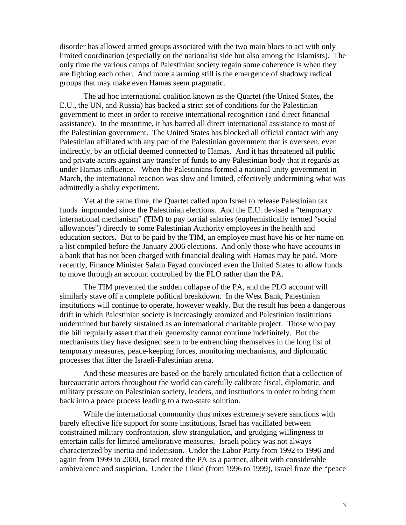disorder has allowed armed groups associated with the two main blocs to act with only limited coordination (especially on the nationalist side but also among the Islamists). The only time the various camps of Palestinian society regain some coherence is when they are fighting each other. And more alarming still is the emergence of shadowy radical groups that may make even Hamas seem pragmatic.

 The ad hoc international coalition known as the Quartet (the United States, the E.U., the UN, and Russia) has backed a strict set of conditions for the Palestinian government to meet in order to receive international recognition (and direct financial assistance). In the meantime, it has barred all direct international assistance to most of the Palestinian government. The United States has blocked all official contact with any Palestinian affiliated with any part of the Palestinian government that is overseen, even indirectly, by an official deemed connected to Hamas. And it has threatened all public and private actors against any transfer of funds to any Palestinian body that it regards as under Hamas influence. When the Palestinians formed a national unity government in March, the international reaction was slow and limited, effectively undermining what was admittedly a shaky experiment.

 Yet at the same time, the Quartet called upon Israel to release Palestinian tax funds impounded since the Palestinian elections. And the E.U. devised a "temporary international mechanism" (TIM) to pay partial salaries (euphemistically termed "social allowances") directly to some Palestinian Authority employees in the health and education sectors. But to be paid by the TIM, an employee must have his or her name on a list compiled before the January 2006 elections. And only those who have accounts in a bank that has not been charged with financial dealing with Hamas may be paid. More recently, Finance Minister Salam Fayad convinced even the United States to allow funds to move through an account controlled by the PLO rather than the PA.

 The TIM prevented the sudden collapse of the PA, and the PLO account will similarly stave off a complete political breakdown. In the West Bank, Palestinian institutions will continue to operate, however weakly. But the result has been a dangerous drift in which Palestinian society is increasingly atomized and Palestinian institutions undermined but barely sustained as an international charitable project. Those who pay the bill regularly assert that their generosity cannot continue indefinitely. But the mechanisms they have designed seem to be entrenching themselves in the long list of temporary measures, peace-keeping forces, monitoring mechanisms, and diplomatic processes that litter the Israeli-Palestinian arena.

 And these measures are based on the barely articulated fiction that a collection of bureaucratic actors throughout the world can carefully calibrate fiscal, diplomatic, and military pressure on Palestinian society, leaders, and institutions in order to bring them back into a peace process leading to a two-state solution.

 While the international community thus mixes extremely severe sanctions with barely effective life support for some institutions, Israel has vacillated between constrained military confrontation, slow strangulation, and grudging willingness to entertain calls for limited ameliorative measures. Israeli policy was not always characterized by inertia and indecision. Under the Labor Party from 1992 to 1996 and again from 1999 to 2000, Israel treated the PA as a partner, albeit with considerable ambivalence and suspicion. Under the Likud (from 1996 to 1999), Israel froze the "peace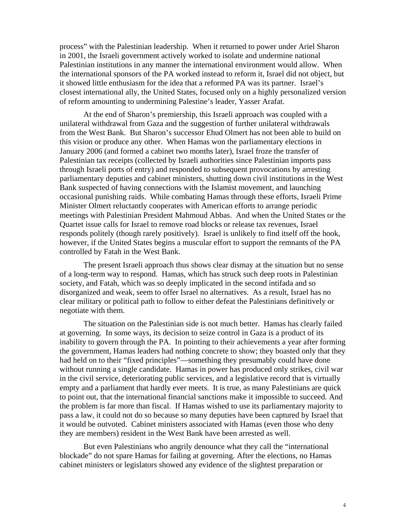process" with the Palestinian leadership. When it returned to power under Ariel Sharon in 2001, the Israeli government actively worked to isolate and undermine national Palestinian institutions in any manner the international environment would allow. When the international sponsors of the PA worked instead to reform it, Israel did not object, but it showed little enthusiasm for the idea that a reformed PA was its partner. Israel's closest international ally, the United States, focused only on a highly personalized version of reform amounting to undermining Palestine's leader, Yasser Arafat.

 At the end of Sharon's premiership, this Israeli approach was coupled with a unilateral withdrawal from Gaza and the suggestion of further unilateral withdrawals from the West Bank. But Sharon's successor Ehud Olmert has not been able to build on this vision or produce any other. When Hamas won the parliamentary elections in January 2006 (and formed a cabinet two months later), Israel froze the transfer of Palestinian tax receipts (collected by Israeli authorities since Palestinian imports pass through Israeli ports of entry) and responded to subsequent provocations by arresting parliamentary deputies and cabinet ministers, shutting down civil institutions in the West Bank suspected of having connections with the Islamist movement, and launching occasional punishing raids. While combating Hamas through these efforts, Israeli Prime Minister Olmert reluctantly cooperates with American efforts to arrange periodic meetings with Palestinian President Mahmoud Abbas. And when the United States or the Quartet issue calls for Israel to remove road blocks or release tax revenues, Israel responds politely (though rarely positively). Israel is unlikely to find itself off the hook, however, if the United States begins a muscular effort to support the remnants of the PA controlled by Fatah in the West Bank.

 The present Israeli approach thus shows clear dismay at the situation but no sense of a long-term way to respond. Hamas, which has struck such deep roots in Palestinian society, and Fatah, which was so deeply implicated in the second intifada and so disorganized and weak, seem to offer Israel no alternatives. As a result, Israel has no clear military or political path to follow to either defeat the Palestinians definitively or negotiate with them.

 The situation on the Palestinian side is not much better. Hamas has clearly failed at governing. In some ways, its decision to seize control in Gaza is a product of its inability to govern through the PA. In pointing to their achievements a year after forming the government, Hamas leaders had nothing concrete to show; they boasted only that they had held on to their "fixed principles"—something they presumably could have done without running a single candidate. Hamas in power has produced only strikes, civil war in the civil service, deteriorating public services, and a legislative record that is virtually empty and a parliament that hardly ever meets. It is true, as many Palestinians are quick to point out, that the international financial sanctions make it impossible to succeed. And the problem is far more than fiscal. If Hamas wished to use its parliamentary majority to pass a law, it could not do so because so many deputies have been captured by Israel that it would be outvoted. Cabinet ministers associated with Hamas (even those who deny they are members) resident in the West Bank have been arrested as well.

 But even Palestinians who angrily denounce what they call the "international blockade" do not spare Hamas for failing at governing. After the elections, no Hamas cabinet ministers or legislators showed any evidence of the slightest preparation or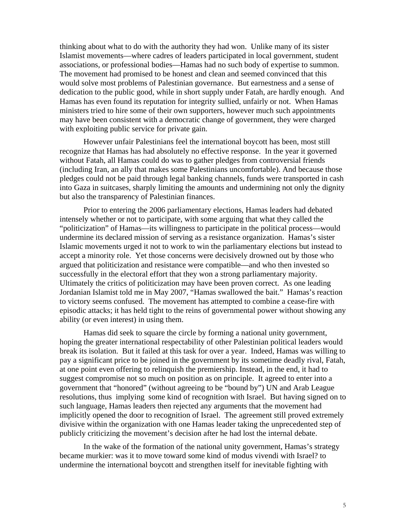thinking about what to do with the authority they had won. Unlike many of its sister Islamist movements—where cadres of leaders participated in local government, student associations, or professional bodies—Hamas had no such body of expertise to summon. The movement had promised to be honest and clean and seemed convinced that this would solve most problems of Palestinian governance. But earnestness and a sense of dedication to the public good, while in short supply under Fatah, are hardly enough. And Hamas has even found its reputation for integrity sullied, unfairly or not. When Hamas ministers tried to hire some of their own supporters, however much such appointments may have been consistent with a democratic change of government, they were charged with exploiting public service for private gain.

 However unfair Palestinians feel the international boycott has been, most still recognize that Hamas has had absolutely no effective response. In the year it governed without Fatah, all Hamas could do was to gather pledges from controversial friends (including Iran, an ally that makes some Palestinians uncomfortable). And because those pledges could not be paid through legal banking channels, funds were transported in cash into Gaza in suitcases, sharply limiting the amounts and undermining not only the dignity but also the transparency of Palestinian finances.

 Prior to entering the 2006 parliamentary elections, Hamas leaders had debated intensely whether or not to participate, with some arguing that what they called the "politicization" of Hamas—its willingness to participate in the political process—would undermine its declared mission of serving as a resistance organization. Hamas's sister Islamic movements urged it not to work to win the parliamentary elections but instead to accept a minority role. Yet those concerns were decisively drowned out by those who argued that politicization and resistance were compatible—and who then invested so successfully in the electoral effort that they won a strong parliamentary majority. Ultimately the critics of politicization may have been proven correct. As one leading Jordanian Islamist told me in May 2007, "Hamas swallowed the bait." Hamas's reaction to victory seems confused. The movement has attempted to combine a cease-fire with episodic attacks; it has held tight to the reins of governmental power without showing any ability (or even interest) in using them.

 Hamas did seek to square the circle by forming a national unity government, hoping the greater international respectability of other Palestinian political leaders would break its isolation. But it failed at this task for over a year. Indeed, Hamas was willing to pay a significant price to be joined in the government by its sometime deadly rival, Fatah, at one point even offering to relinquish the premiership. Instead, in the end, it had to suggest compromise not so much on position as on principle. It agreed to enter into a government that "honored" (without agreeing to be "bound by") UN and Arab League resolutions, thus implying some kind of recognition with Israel. But having signed on to such language, Hamas leaders then rejected any arguments that the movement had implicitly opened the door to recognition of Israel. The agreement still proved extremely divisive within the organization with one Hamas leader taking the unprecedented step of publicly criticizing the movement's decision after he had lost the internal debate.

 In the wake of the formation of the national unity government, Hamas's strategy became murkier: was it to move toward some kind of modus vivendi with Israel? to undermine the international boycott and strengthen itself for inevitable fighting with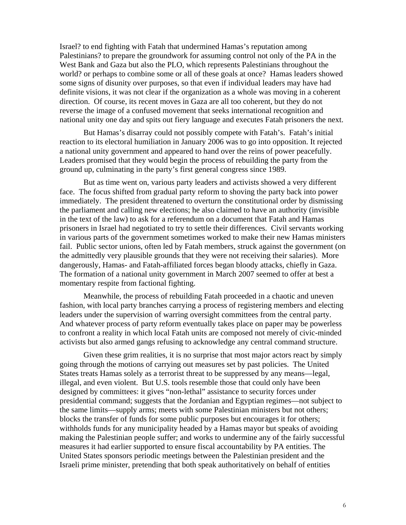Israel? to end fighting with Fatah that undermined Hamas's reputation among Palestinians? to prepare the groundwork for assuming control not only of the PA in the West Bank and Gaza but also the PLO, which represents Palestinians throughout the world? or perhaps to combine some or all of these goals at once? Hamas leaders showed some signs of disunity over purposes, so that even if individual leaders may have had definite visions, it was not clear if the organization as a whole was moving in a coherent direction. Of course, its recent moves in Gaza are all too coherent, but they do not reverse the image of a confused movement that seeks international recognition and national unity one day and spits out fiery language and executes Fatah prisoners the next.

 But Hamas's disarray could not possibly compete with Fatah's. Fatah's initial reaction to its electoral humiliation in January 2006 was to go into opposition. It rejected a national unity government and appeared to hand over the reins of power peacefully. Leaders promised that they would begin the process of rebuilding the party from the ground up, culminating in the party's first general congress since 1989.

 But as time went on, various party leaders and activists showed a very different face. The focus shifted from gradual party reform to shoving the party back into power immediately. The president threatened to overturn the constitutional order by dismissing the parliament and calling new elections; he also claimed to have an authority (invisible in the text of the law) to ask for a referendum on a document that Fatah and Hamas prisoners in Israel had negotiated to try to settle their differences. Civil servants working in various parts of the government sometimes worked to make their new Hamas ministers fail. Public sector unions, often led by Fatah members, struck against the government (on the admittedly very plausible grounds that they were not receiving their salaries). More dangerously, Hamas- and Fatah-affiliated forces began bloody attacks, chiefly in Gaza. The formation of a national unity government in March 2007 seemed to offer at best a momentary respite from factional fighting.

 Meanwhile, the process of rebuilding Fatah proceeded in a chaotic and uneven fashion, with local party branches carrying a process of registering members and electing leaders under the supervision of warring oversight committees from the central party. And whatever process of party reform eventually takes place on paper may be powerless to confront a reality in which local Fatah units are composed not merely of civic-minded activists but also armed gangs refusing to acknowledge any central command structure.

 Given these grim realities, it is no surprise that most major actors react by simply going through the motions of carrying out measures set by past policies. The United States treats Hamas solely as a terrorist threat to be suppressed by any means—legal, illegal, and even violent. But U.S. tools resemble those that could only have been designed by committees: it gives "non-lethal" assistance to security forces under presidential command; suggests that the Jordanian and Egyptian regimes—not subject to the same limits—supply arms; meets with some Palestinian ministers but not others; blocks the transfer of funds for some public purposes but encourages it for others; withholds funds for any municipality headed by a Hamas mayor but speaks of avoiding making the Palestinian people suffer; and works to undermine any of the fairly successful measures it had earlier supported to ensure fiscal accountability by PA entities. The United States sponsors periodic meetings between the Palestinian president and the Israeli prime minister, pretending that both speak authoritatively on behalf of entities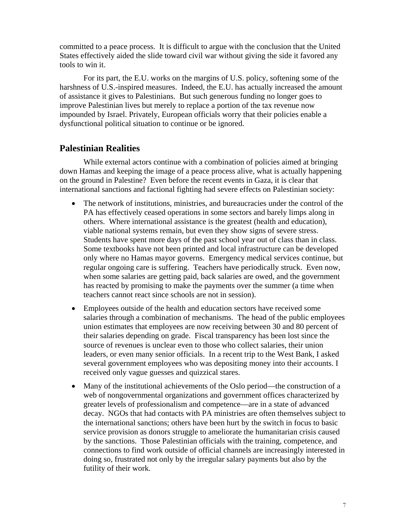committed to a peace process. It is difficult to argue with the conclusion that the United States effectively aided the slide toward civil war without giving the side it favored any tools to win it.

 For its part, the E.U. works on the margins of U.S. policy, softening some of the harshness of U.S.-inspired measures. Indeed, the E.U. has actually increased the amount of assistance it gives to Palestinians. But such generous funding no longer goes to improve Palestinian lives but merely to replace a portion of the tax revenue now impounded by Israel. Privately, European officials worry that their policies enable a dysfunctional political situation to continue or be ignored.

# **Palestinian Realities**

 While external actors continue with a combination of policies aimed at bringing down Hamas and keeping the image of a peace process alive, what is actually happening on the ground in Palestine? Even before the recent events in Gaza, it is clear that international sanctions and factional fighting had severe effects on Palestinian society:

- The network of institutions, ministries, and bureaucracies under the control of the PA has effectively ceased operations in some sectors and barely limps along in others. Where international assistance is the greatest (health and education), viable national systems remain, but even they show signs of severe stress. Students have spent more days of the past school year out of class than in class. Some textbooks have not been printed and local infrastructure can be developed only where no Hamas mayor governs. Emergency medical services continue, but regular ongoing care is suffering. Teachers have periodically struck. Even now, when some salaries are getting paid, back salaries are owed, and the government has reacted by promising to make the payments over the summer (a time when teachers cannot react since schools are not in session).
- Employees outside of the health and education sectors have received some salaries through a combination of mechanisms. The head of the public employees union estimates that employees are now receiving between 30 and 80 percent of their salaries depending on grade. Fiscal transparency has been lost since the source of revenues is unclear even to those who collect salaries, their union leaders, or even many senior officials. In a recent trip to the West Bank, I asked several government employees who was depositing money into their accounts. I received only vague guesses and quizzical stares.
- Many of the institutional achievements of the Oslo period—the construction of a web of nongovernmental organizations and government offices characterized by greater levels of professionalism and competence—are in a state of advanced decay. NGOs that had contacts with PA ministries are often themselves subject to the international sanctions; others have been hurt by the switch in focus to basic service provision as donors struggle to ameliorate the humanitarian crisis caused by the sanctions. Those Palestinian officials with the training, competence, and connections to find work outside of official channels are increasingly interested in doing so, frustrated not only by the irregular salary payments but also by the futility of their work.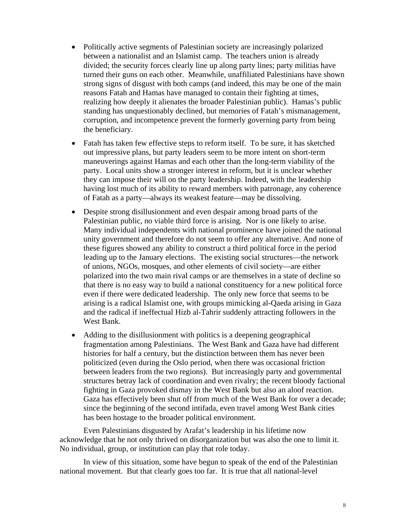- Politically active segments of Palestinian society are increasingly polarized between a nationalist and an Islamist camp. The teachers union is already divided; the security forces clearly line up along party lines; party militias have turned their guns on each other. Meanwhile, unaffiliated Palestinians have shown strong signs of disgust with both camps (and indeed, this may be one of the main reasons Fatah and Hamas have managed to contain their fighting at times, realizing how deeply it alienates the broader Palestinian public). Hamas's public standing has unquestionably declined, but memories of Fatah's mismanagement, corruption, and incompetence prevent the formerly governing party from being the beneficiary.
- Fatah has taken few effective steps to reform itself. To be sure, it has sketched out impressive plans, but party leaders seem to be more intent on short-term maneuverings against Hamas and each other than the long-term viability of the party. Local units show a stronger interest in reform, but it is unclear whether they can impose their will on the party leadership. Indeed, with the leadership having lost much of its ability to reward members with patronage, any coherence of Fatah as a party—always its weakest feature—may be dissolving.
- Despite strong disillusionment and even despair among broad parts of the Palestinian public, no viable third force is arising. Nor is one likely to arise. Many individual independents with national prominence have joined the national unity government and therefore do not seem to offer any alternative. And none of these figures showed any ability to construct a third political force in the period leading up to the January elections. The existing social structures—the network of unions, NGOs, mosques, and other elements of civil society—are either polarized into the two main rival camps or are themselves in a state of decline so that there is no easy way to build a national constituency for a new political force even if there were dedicated leadership. The only new force that seems to be arising is a radical Islamist one, with groups mimicking al-Qaeda arising in Gaza and the radical if ineffectual Hizb al-Tahrir suddenly attracting followers in the West Bank.
- Adding to the disillusionment with politics is a deepening geographical fragmentation among Palestinians. The West Bank and Gaza have had different histories for half a century, but the distinction between them has never been politicized (even during the Oslo period, when there was occasional friction between leaders from the two regions). But increasingly party and governmental structures betray lack of coordination and even rivalry; the recent bloody factional fighting in Gaza provoked dismay in the West Bank but also an aloof reaction. Gaza has effectively been shut off from much of the West Bank for over a decade; since the beginning of the second intifada, even travel among West Bank cities has been hostage to the broader political environment.

 Even Palestinians disgusted by Arafat's leadership in his lifetime now acknowledge that he not only thrived on disorganization but was also the one to limit it. No individual, group, or institution can play that role today.

 In view of this situation, some have begun to speak of the end of the Palestinian national movement. But that clearly goes too far. It is true that all national-level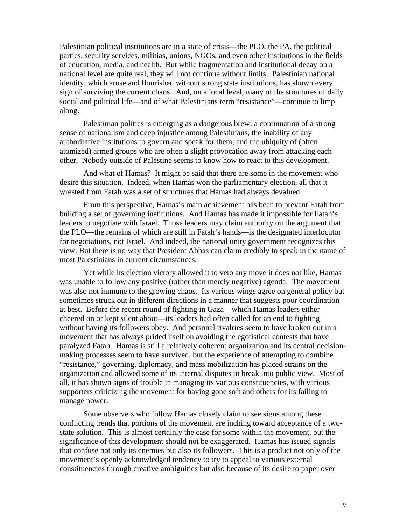Palestinian political institutions are in a state of crisis—the PLO, the PA, the political parties, security services, militias, unions, NGOs, and even other institutions in the fields of education, media, and health. But while fragmentation and institutional decay on a national level are quite real, they will not continue without limits. Palestinian national identity, which arose and flourished without strong state institutions, has shown every sign of surviving the current chaos. And, on a local level, many of the structures of daily social and political life—and of what Palestinians term "resistance"—continue to limp along.

 Palestinian politics is emerging as a dangerous brew: a continuation of a strong sense of nationalism and deep injustice among Palestinians, the inability of any authoritative institutions to govern and speak for them; and the ubiquity of (often atomized) armed groups who are often a slight provocation away from attacking each other. Nobody outside of Palestine seems to know how to react to this development.

 And what of Hamas? It might be said that there are some in the movement who desire this situation. Indeed, when Hamas won the parliamentary election, all that it wrested from Fatah was a set of structures that Hamas had always devalued.

 From this perspective, Hamas's main achievement has been to prevent Fatah from building a set of governing institutions. And Hamas has made it impossible for Fatah's leaders to negotiate with Israel. Those leaders may claim authority on the argument that the PLO—the remains of which are still in Fatah's hands—is the designated interlocutor for negotiations, not Israel. And indeed, the national unity government recognizes this view. But there is no way that President Abbas can claim credibly to speak in the name of most Palestinians in current circumstances.

 Yet while its election victory allowed it to veto any move it does not like, Hamas was unable to follow any positive (rather than merely negative) agenda. The movement was also not immune to the growing chaos. Its various wings agree on general policy but sometimes struck out in different directions in a manner that suggests poor coordination at best. Before the recent round of fighting in Gaza—which Hamas leaders either cheered on or kept silent about—its leaders had often called for an end to fighting without having its followers obey. And personal rivalries seem to have broken out in a movement that has always prided itself on avoiding the egotistical contests that have paralyzed Fatah. Hamas is still a relatively coherent organization and its central decisionmaking processes seem to have survived, but the experience of attempting to combine "resistance," governing, diplomacy, and mass mobilization has placed strains on the organization and allowed some of its internal disputes to break into public view. Most of all, it has shown signs of trouble in managing its various constituencies, with various supporters criticizing the movement for having gone soft and others for its failing to manage power.

 Some observers who follow Hamas closely claim to see signs among these conflicting trends that portions of the movement are inching toward acceptance of a twostate solution. This is almost certainly the case for some within the movement, but the significance of this development should not be exaggerated. Hamas has issued signals that confuse not only its enemies but also its followers. This is a product not only of the movement's openly acknowledged tendency to try to appeal to various external constituencies through creative ambiguities but also because of its desire to paper over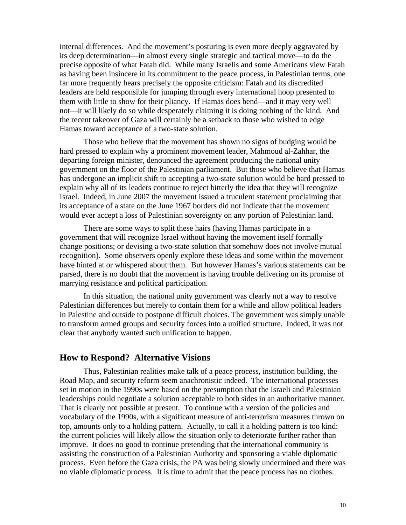internal differences. And the movement's posturing is even more deeply aggravated by its deep determination—in almost every single strategic and tactical move—to do the precise opposite of what Fatah did. While many Israelis and some Americans view Fatah as having been insincere in its commitment to the peace process, in Palestinian terms, one far more frequently hears precisely the opposite criticism: Fatah and its discredited leaders are held responsible for jumping through every international hoop presented to them with little to show for their pliancy. If Hamas does bend—and it may very well not—it will likely do so while desperately claiming it is doing nothing of the kind. And the recent takeover of Gaza will certainly be a setback to those who wished to edge Hamas toward acceptance of a two-state solution.

 Those who believe that the movement has shown no signs of budging would be hard pressed to explain why a prominent movement leader, Mahmoud al-Zahhar, the departing foreign minister, denounced the agreement producing the national unity government on the floor of the Palestinian parliament. But those who believe that Hamas has undergone an implicit shift to accepting a two-state solution would be hard pressed to explain why all of its leaders continue to reject bitterly the idea that they will recognize Israel. Indeed, in June 2007 the movement issued a truculent statement proclaiming that its acceptance of a state on the June 1967 borders did not indicate that the movement would ever accept a loss of Palestinian sovereignty on any portion of Palestinian land.

 There are some ways to split these hairs (having Hamas participate in a government that will recognize Israel without having the movement itself formally change positions; or devising a two-state solution that somehow does not involve mutual recognition). Some observers openly explore these ideas and some within the movement have hinted at or whispered about them. But however Hamas's various statements can be parsed, there is no doubt that the movement is having trouble delivering on its promise of marrying resistance and political participation.

 In this situation, the national unity government was clearly not a way to resolve Palestinian differences but merely to contain them for a while and allow political leaders in Palestine and outside to postpone difficult choices. The government was simply unable to transform armed groups and security forces into a unified structure. Indeed, it was not clear that anybody wanted such unification to happen.

### **How to Respond? Alternative Visions**

 Thus, Palestinian realities make talk of a peace process, institution building, the Road Map, and security reform seem anachronistic indeed. The international processes set in motion in the 1990s were based on the presumption that the Israeli and Palestinian leaderships could negotiate a solution acceptable to both sides in an authoritative manner. That is clearly not possible at present. To continue with a version of the policies and vocabulary of the 1990s, with a significant measure of anti-terrorism measures thrown on top, amounts only to a holding pattern. Actually, to call it a holding pattern is too kind: the current policies will likely allow the situation only to deteriorate further rather than improve. It does no good to continue pretending that the international community is assisting the construction of a Palestinian Authority and sponsoring a viable diplomatic process. Even before the Gaza crisis, the PA was being slowly undermined and there was no viable diplomatic process. It is time to admit that the peace process has no clothes.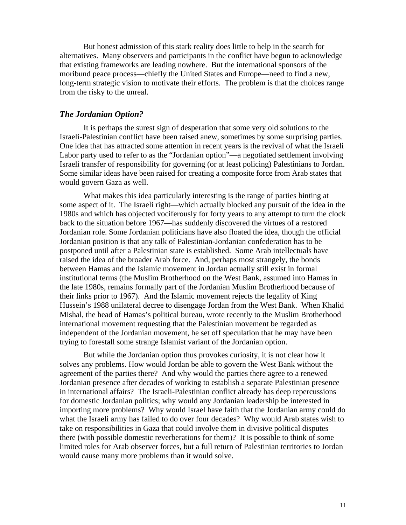But honest admission of this stark reality does little to help in the search for alternatives. Many observers and participants in the conflict have begun to acknowledge that existing frameworks are leading nowhere. But the international sponsors of the moribund peace process—chiefly the United States and Europe—need to find a new, long-term strategic vision to motivate their efforts. The problem is that the choices range from the risky to the unreal.

#### *The Jordanian Option?*

 It is perhaps the surest sign of desperation that some very old solutions to the Israeli-Palestinian conflict have been raised anew, sometimes by some surprising parties. One idea that has attracted some attention in recent years is the revival of what the Israeli Labor party used to refer to as the "Jordanian option"—a negotiated settlement involving Israeli transfer of responsibility for governing (or at least policing) Palestinians to Jordan. Some similar ideas have been raised for creating a composite force from Arab states that would govern Gaza as well.

 What makes this idea particularly interesting is the range of parties hinting at some aspect of it. The Israeli right—which actually blocked any pursuit of the idea in the 1980s and which has objected vociferously for forty years to any attempt to turn the clock back to the situation before 1967—has suddenly discovered the virtues of a restored Jordanian role. Some Jordanian politicians have also floated the idea, though the official Jordanian position is that any talk of Palestinian-Jordanian confederation has to be postponed until after a Palestinian state is established. Some Arab intellectuals have raised the idea of the broader Arab force. And, perhaps most strangely, the bonds between Hamas and the Islamic movement in Jordan actually still exist in formal institutional terms (the Muslim Brotherhood on the West Bank, assumed into Hamas in the late 1980s, remains formally part of the Jordanian Muslim Brotherhood because of their links prior to 1967). And the Islamic movement rejects the legality of King Hussein's 1988 unilateral decree to disengage Jordan from the West Bank. When Khalid Mishal, the head of Hamas's political bureau, wrote recently to the Muslim Brotherhood international movement requesting that the Palestinian movement be regarded as independent of the Jordanian movement, he set off speculation that he may have been trying to forestall some strange Islamist variant of the Jordanian option.

 But while the Jordanian option thus provokes curiosity, it is not clear how it solves any problems. How would Jordan be able to govern the West Bank without the agreement of the parties there? And why would the parties there agree to a renewed Jordanian presence after decades of working to establish a separate Palestinian presence in international affairs? The Israeli-Palestinian conflict already has deep repercussions for domestic Jordanian politics; why would any Jordanian leadership be interested in importing more problems? Why would Israel have faith that the Jordanian army could do what the Israeli army has failed to do over four decades? Why would Arab states wish to take on responsibilities in Gaza that could involve them in divisive political disputes there (with possible domestic reverberations for them)? It is possible to think of some limited roles for Arab observer forces, but a full return of Palestinian territories to Jordan would cause many more problems than it would solve.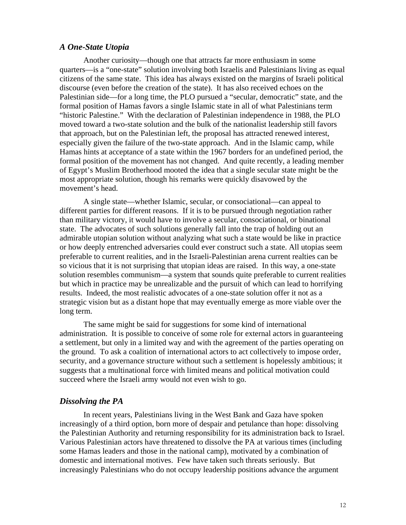#### *A One-State Utopia*

 Another curiosity—though one that attracts far more enthusiasm in some quarters—is a "one-state" solution involving both Israelis and Palestinians living as equal citizens of the same state. This idea has always existed on the margins of Israeli political discourse (even before the creation of the state). It has also received echoes on the Palestinian side—for a long time, the PLO pursued a "secular, democratic" state, and the formal position of Hamas favors a single Islamic state in all of what Palestinians term "historic Palestine." With the declaration of Palestinian independence in 1988, the PLO moved toward a two-state solution and the bulk of the nationalist leadership still favors that approach, but on the Palestinian left, the proposal has attracted renewed interest, especially given the failure of the two-state approach. And in the Islamic camp, while Hamas hints at acceptance of a state within the 1967 borders for an undefined period, the formal position of the movement has not changed. And quite recently, a leading member of Egypt's Muslim Brotherhood mooted the idea that a single secular state might be the most appropriate solution, though his remarks were quickly disavowed by the movement's head.

 A single state—whether Islamic, secular, or consociational—can appeal to different parties for different reasons. If it is to be pursued through negotiation rather than military victory, it would have to involve a secular, consociational, or binational state. The advocates of such solutions generally fall into the trap of holding out an admirable utopian solution without analyzing what such a state would be like in practice or how deeply entrenched adversaries could ever construct such a state. All utopias seem preferable to current realities, and in the Israeli-Palestinian arena current realties can be so vicious that it is not surprising that utopian ideas are raised. In this way, a one-state solution resembles communism—a system that sounds quite preferable to current realities but which in practice may be unrealizable and the pursuit of which can lead to horrifying results. Indeed, the most realistic advocates of a one-state solution offer it not as a strategic vision but as a distant hope that may eventually emerge as more viable over the long term.

 The same might be said for suggestions for some kind of international administration. It is possible to conceive of some role for external actors in guaranteeing a settlement, but only in a limited way and with the agreement of the parties operating on the ground. To ask a coalition of international actors to act collectively to impose order, security, and a governance structure without such a settlement is hopelessly ambitious; it suggests that a multinational force with limited means and political motivation could succeed where the Israeli army would not even wish to go.

#### *Dissolving the PA*

 In recent years, Palestinians living in the West Bank and Gaza have spoken increasingly of a third option, born more of despair and petulance than hope: dissolving the Palestinian Authority and returning responsibility for its administration back to Israel. Various Palestinian actors have threatened to dissolve the PA at various times (including some Hamas leaders and those in the national camp), motivated by a combination of domestic and international motives. Few have taken such threats seriously. But increasingly Palestinians who do not occupy leadership positions advance the argument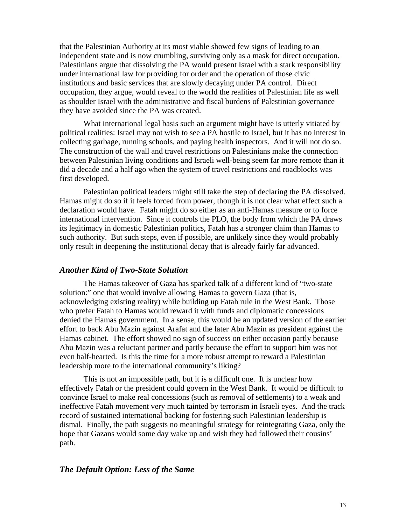that the Palestinian Authority at its most viable showed few signs of leading to an independent state and is now crumbling, surviving only as a mask for direct occupation. Palestinians argue that dissolving the PA would present Israel with a stark responsibility under international law for providing for order and the operation of those civic institutions and basic services that are slowly decaying under PA control. Direct occupation, they argue, would reveal to the world the realities of Palestinian life as well as shoulder Israel with the administrative and fiscal burdens of Palestinian governance they have avoided since the PA was created.

 What international legal basis such an argument might have is utterly vitiated by political realities: Israel may not wish to see a PA hostile to Israel, but it has no interest in collecting garbage, running schools, and paying health inspectors. And it will not do so. The construction of the wall and travel restrictions on Palestinians make the connection between Palestinian living conditions and Israeli well-being seem far more remote than it did a decade and a half ago when the system of travel restrictions and roadblocks was first developed.

 Palestinian political leaders might still take the step of declaring the PA dissolved. Hamas might do so if it feels forced from power, though it is not clear what effect such a declaration would have. Fatah might do so either as an anti-Hamas measure or to force international intervention. Since it controls the PLO, the body from which the PA draws its legitimacy in domestic Palestinian politics, Fatah has a stronger claim than Hamas to such authority. But such steps, even if possible, are unlikely since they would probably only result in deepening the institutional decay that is already fairly far advanced.

#### *Another Kind of Two-State Solution*

 The Hamas takeover of Gaza has sparked talk of a different kind of "two-state solution:" one that would involve allowing Hamas to govern Gaza (that is, acknowledging existing reality) while building up Fatah rule in the West Bank. Those who prefer Fatah to Hamas would reward it with funds and diplomatic concessions denied the Hamas government. In a sense, this would be an updated version of the earlier effort to back Abu Mazin against Arafat and the later Abu Mazin as president against the Hamas cabinet. The effort showed no sign of success on either occasion partly because Abu Mazin was a reluctant partner and partly because the effort to support him was not even half-hearted. Is this the time for a more robust attempt to reward a Palestinian leadership more to the international community's liking?

 This is not an impossible path, but it is a difficult one. It is unclear how effectively Fatah or the president could govern in the West Bank. It would be difficult to convince Israel to make real concessions (such as removal of settlements) to a weak and ineffective Fatah movement very much tainted by terrorism in Israeli eyes. And the track record of sustained international backing for fostering such Palestinian leadership is dismal. Finally, the path suggests no meaningful strategy for reintegrating Gaza, only the hope that Gazans would some day wake up and wish they had followed their cousins' path.

#### *The Default Option: Less of the Same*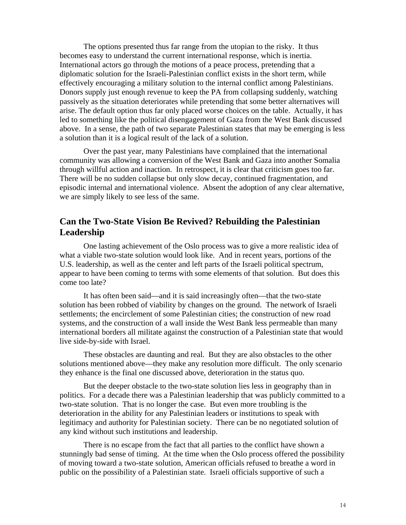The options presented thus far range from the utopian to the risky. It thus becomes easy to understand the current international response, which is inertia. International actors go through the motions of a peace process, pretending that a diplomatic solution for the Israeli-Palestinian conflict exists in the short term, while effectively encouraging a military solution to the internal conflict among Palestinians. Donors supply just enough revenue to keep the PA from collapsing suddenly, watching passively as the situation deteriorates while pretending that some better alternatives will arise. The default option thus far only placed worse choices on the table. Actually, it has led to something like the political disengagement of Gaza from the West Bank discussed above. In a sense, the path of two separate Palestinian states that may be emerging is less a solution than it is a logical result of the lack of a solution.

 Over the past year, many Palestinians have complained that the international community was allowing a conversion of the West Bank and Gaza into another Somalia through willful action and inaction. In retrospect, it is clear that criticism goes too far. There will be no sudden collapse but only slow decay, continued fragmentation, and episodic internal and international violence. Absent the adoption of any clear alternative, we are simply likely to see less of the same.

# **Can the Two-State Vision Be Revived? Rebuilding the Palestinian Leadership**

 One lasting achievement of the Oslo process was to give a more realistic idea of what a viable two-state solution would look like. And in recent years, portions of the U.S. leadership, as well as the center and left parts of the Israeli political spectrum, appear to have been coming to terms with some elements of that solution. But does this come too late?

 It has often been said—and it is said increasingly often—that the two-state solution has been robbed of viability by changes on the ground. The network of Israeli settlements; the encirclement of some Palestinian cities; the construction of new road systems, and the construction of a wall inside the West Bank less permeable than many international borders all militate against the construction of a Palestinian state that would live side-by-side with Israel.

 These obstacles are daunting and real. But they are also obstacles to the other solutions mentioned above—they make any resolution more difficult. The only scenario they enhance is the final one discussed above, deterioration in the status quo.

 But the deeper obstacle to the two-state solution lies less in geography than in politics. For a decade there was a Palestinian leadership that was publicly committed to a two-state solution. That is no longer the case. But even more troubling is the deterioration in the ability for any Palestinian leaders or institutions to speak with legitimacy and authority for Palestinian society. There can be no negotiated solution of any kind without such institutions and leadership.

 There is no escape from the fact that all parties to the conflict have shown a stunningly bad sense of timing. At the time when the Oslo process offered the possibility of moving toward a two-state solution, American officials refused to breathe a word in public on the possibility of a Palestinian state. Israeli officials supportive of such a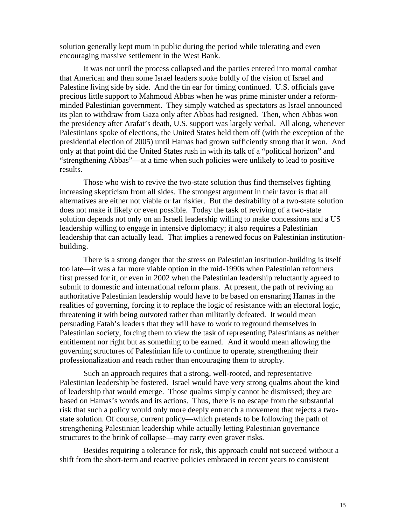solution generally kept mum in public during the period while tolerating and even encouraging massive settlement in the West Bank.

 It was not until the process collapsed and the parties entered into mortal combat that American and then some Israel leaders spoke boldly of the vision of Israel and Palestine living side by side. And the tin ear for timing continued. U.S. officials gave precious little support to Mahmoud Abbas when he was prime minister under a reformminded Palestinian government. They simply watched as spectators as Israel announced its plan to withdraw from Gaza only after Abbas had resigned. Then, when Abbas won the presidency after Arafat's death, U.S. support was largely verbal. All along, whenever Palestinians spoke of elections, the United States held them off (with the exception of the presidential election of 2005) until Hamas had grown sufficiently strong that it won. And only at that point did the United States rush in with its talk of a "political horizon" and "strengthening Abbas"—at a time when such policies were unlikely to lead to positive results.

 Those who wish to revive the two-state solution thus find themselves fighting increasing skepticism from all sides. The strongest argument in their favor is that all alternatives are either not viable or far riskier. But the desirability of a two-state solution does not make it likely or even possible. Today the task of reviving of a two-state solution depends not only on an Israeli leadership willing to make concessions and a US leadership willing to engage in intensive diplomacy; it also requires a Palestinian leadership that can actually lead. That implies a renewed focus on Palestinian institutionbuilding.

 There is a strong danger that the stress on Palestinian institution-building is itself too late—it was a far more viable option in the mid-1990s when Palestinian reformers first pressed for it, or even in 2002 when the Palestinian leadership reluctantly agreed to submit to domestic and international reform plans. At present, the path of reviving an authoritative Palestinian leadership would have to be based on ensnaring Hamas in the realities of governing, forcing it to replace the logic of resistance with an electoral logic, threatening it with being outvoted rather than militarily defeated. It would mean persuading Fatah's leaders that they will have to work to reground themselves in Palestinian society, forcing them to view the task of representing Palestinians as neither entitlement nor right but as something to be earned. And it would mean allowing the governing structures of Palestinian life to continue to operate, strengthening their professionalization and reach rather than encouraging them to atrophy.

 Such an approach requires that a strong, well-rooted, and representative Palestinian leadership be fostered. Israel would have very strong qualms about the kind of leadership that would emerge. Those qualms simply cannot be dismissed; they are based on Hamas's words and its actions. Thus, there is no escape from the substantial risk that such a policy would only more deeply entrench a movement that rejects a twostate solution. Of course, current policy—which pretends to be following the path of strengthening Palestinian leadership while actually letting Palestinian governance structures to the brink of collapse—may carry even graver risks.

 Besides requiring a tolerance for risk, this approach could not succeed without a shift from the short-term and reactive policies embraced in recent years to consistent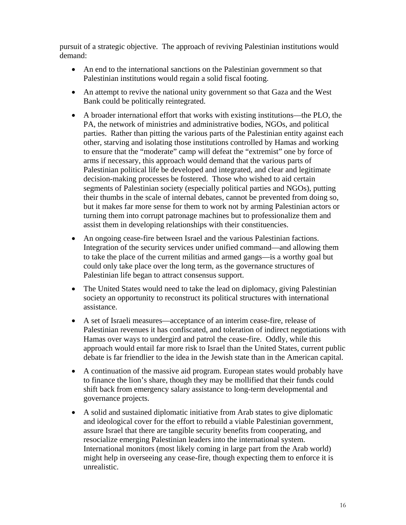pursuit of a strategic objective. The approach of reviving Palestinian institutions would demand:

- An end to the international sanctions on the Palestinian government so that Palestinian institutions would regain a solid fiscal footing.
- An attempt to revive the national unity government so that Gaza and the West Bank could be politically reintegrated.
- A broader international effort that works with existing institutions—the PLO, the PA, the network of ministries and administrative bodies, NGOs, and political parties. Rather than pitting the various parts of the Palestinian entity against each other, starving and isolating those institutions controlled by Hamas and working to ensure that the "moderate" camp will defeat the "extremist" one by force of arms if necessary, this approach would demand that the various parts of Palestinian political life be developed and integrated, and clear and legitimate decision-making processes be fostered. Those who wished to aid certain segments of Palestinian society (especially political parties and NGOs), putting their thumbs in the scale of internal debates, cannot be prevented from doing so, but it makes far more sense for them to work not by arming Palestinian actors or turning them into corrupt patronage machines but to professionalize them and assist them in developing relationships with their constituencies.
- An ongoing cease-fire between Israel and the various Palestinian factions. Integration of the security services under unified command—and allowing them to take the place of the current militias and armed gangs—is a worthy goal but could only take place over the long term, as the governance structures of Palestinian life began to attract consensus support.
- The United States would need to take the lead on diplomacy, giving Palestinian society an opportunity to reconstruct its political structures with international assistance.
- A set of Israeli measures—acceptance of an interim cease-fire, release of Palestinian revenues it has confiscated, and toleration of indirect negotiations with Hamas over ways to undergird and patrol the cease-fire. Oddly, while this approach would entail far more risk to Israel than the United States, current public debate is far friendlier to the idea in the Jewish state than in the American capital.
- A continuation of the massive aid program. European states would probably have to finance the lion's share, though they may be mollified that their funds could shift back from emergency salary assistance to long-term developmental and governance projects.
- A solid and sustained diplomatic initiative from Arab states to give diplomatic and ideological cover for the effort to rebuild a viable Palestinian government, assure Israel that there are tangible security benefits from cooperating, and resocialize emerging Palestinian leaders into the international system. International monitors (most likely coming in large part from the Arab world) might help in overseeing any cease-fire, though expecting them to enforce it is unrealistic.